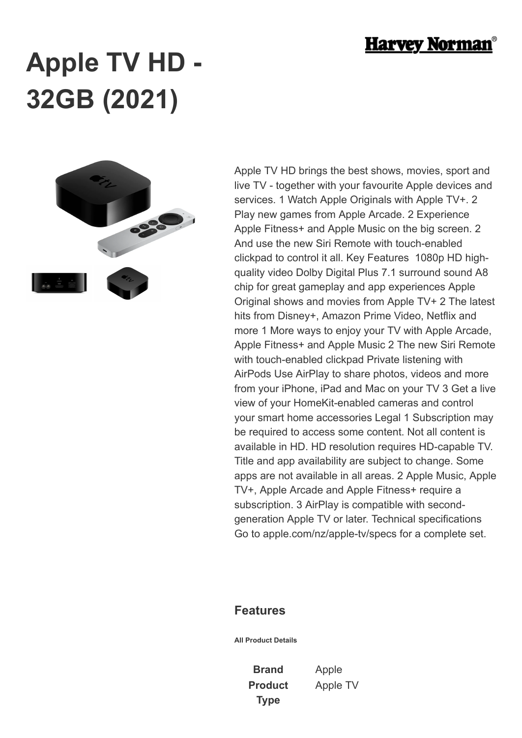

## **Apple TV HD - 32GB (2021)**



Apple TV HD brings the best shows, movies, sport and live TV - together with your favourite Apple devices and services. 1 Watch Apple Originals with Apple TV+. 2 Play new games from Apple Arcade. 2 Experience Apple Fitness+ and Apple Music on the big screen. 2 And use the new Siri Remote with touch-enabled clickpad to control it all. Key Features 1080p HD highquality video Dolby Digital Plus 7.1 surround sound A8 chip for great gameplay and app experiences Apple Original shows and movies from Apple TV+ 2 The latest hits from Disney+, Amazon Prime Video, Netflix and more 1 More ways to enjoy your TV with Apple Arcade, Apple Fitness+ and Apple Music 2 The new Siri Remote with touch-enabled clickpad Private listening with AirPods Use AirPlay to share photos, videos and more from your iPhone, iPad and Mac on your TV 3 Get a live view of your HomeKit-enabled cameras and control your smart home accessories Legal 1 Subscription may be required to access some content. Not all content is available in HD. HD resolution requires HD-capable TV. Title and app availability are subject to change. Some apps are not available in all areas. 2 Apple Music, Apple TV+, Apple Arcade and Apple Fitness+ require a subscription. 3 AirPlay is compatible with secondgeneration Apple TV or later. Technical specifications Go to apple.com/nz/apple-tv/specs for a complete set.

## **Features**

**All Product Details**

**Brand** Apple **Product Type**

Apple TV